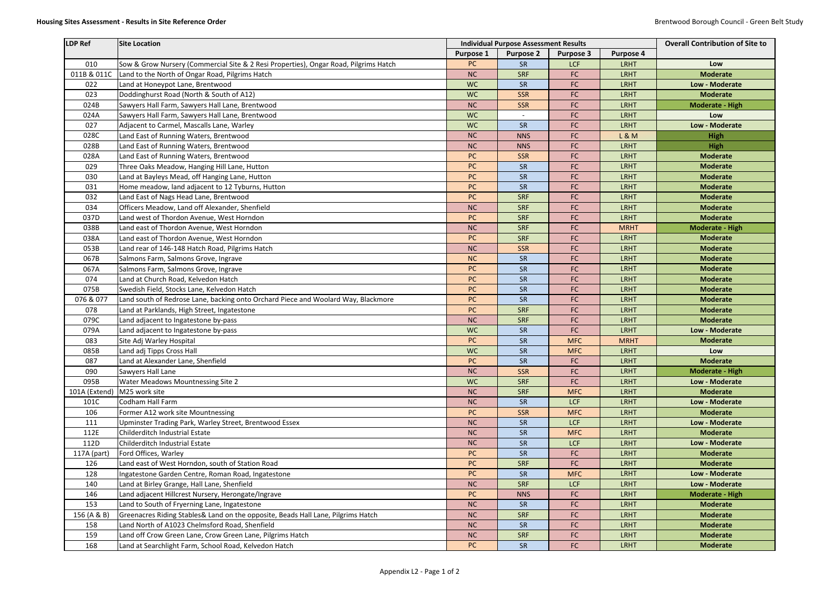| <b>Purpose 2</b><br><b>Purpose 1</b><br><b>Purpose 3</b><br><b>Purpose 4</b><br>010<br>Sow & Grow Nursery (Commercial Site & 2 Resi Properties), Ongar Road, Pilgrims Hatch<br>PC<br><b>LCF</b><br><b>LRHT</b><br><b>SR</b><br>Low<br><b>NC</b><br><b>LRHT</b><br><b>Moderate</b><br>011B & 011C<br>Land to the North of Ongar Road, Pilgrims Hatch<br><b>SRF</b><br>FC<br>022<br>Land at Honeypot Lane, Brentwood<br><b>WC</b><br>SR<br>FC<br><b>LRHT</b><br>Low - Moderate<br>Doddinghurst Road (North & South of A12)<br>FC<br>023<br><b>WC</b><br><b>SSR</b><br><b>LRHT</b><br><b>Moderate</b><br>024B<br>Sawyers Hall Farm, Sawyers Hall Lane, Brentwood<br><b>SSR</b><br>FC<br><b>LRHT</b><br><b>NC</b><br><b>Moderate - High</b><br>Sawyers Hall Farm, Sawyers Hall Lane, Brentwood<br><b>WC</b><br>FC<br>024A<br><b>LRHT</b><br>Low<br>$\overline{\phantom{a}}$<br>FC<br>Adjacent to Carmel, Mascalls Lane, Warley<br><b>WC</b><br>SR<br><b>LRHT</b><br>Low - Moderate<br>027<br>028C<br>Land East of Running Waters, Brentwood<br>FC<br><b>L&amp;M</b><br><b>NC</b><br><b>NNS</b><br><b>High</b> |
|-----------------------------------------------------------------------------------------------------------------------------------------------------------------------------------------------------------------------------------------------------------------------------------------------------------------------------------------------------------------------------------------------------------------------------------------------------------------------------------------------------------------------------------------------------------------------------------------------------------------------------------------------------------------------------------------------------------------------------------------------------------------------------------------------------------------------------------------------------------------------------------------------------------------------------------------------------------------------------------------------------------------------------------------------------------------------------------------------------------|
|                                                                                                                                                                                                                                                                                                                                                                                                                                                                                                                                                                                                                                                                                                                                                                                                                                                                                                                                                                                                                                                                                                           |
|                                                                                                                                                                                                                                                                                                                                                                                                                                                                                                                                                                                                                                                                                                                                                                                                                                                                                                                                                                                                                                                                                                           |
|                                                                                                                                                                                                                                                                                                                                                                                                                                                                                                                                                                                                                                                                                                                                                                                                                                                                                                                                                                                                                                                                                                           |
|                                                                                                                                                                                                                                                                                                                                                                                                                                                                                                                                                                                                                                                                                                                                                                                                                                                                                                                                                                                                                                                                                                           |
|                                                                                                                                                                                                                                                                                                                                                                                                                                                                                                                                                                                                                                                                                                                                                                                                                                                                                                                                                                                                                                                                                                           |
|                                                                                                                                                                                                                                                                                                                                                                                                                                                                                                                                                                                                                                                                                                                                                                                                                                                                                                                                                                                                                                                                                                           |
|                                                                                                                                                                                                                                                                                                                                                                                                                                                                                                                                                                                                                                                                                                                                                                                                                                                                                                                                                                                                                                                                                                           |
|                                                                                                                                                                                                                                                                                                                                                                                                                                                                                                                                                                                                                                                                                                                                                                                                                                                                                                                                                                                                                                                                                                           |
|                                                                                                                                                                                                                                                                                                                                                                                                                                                                                                                                                                                                                                                                                                                                                                                                                                                                                                                                                                                                                                                                                                           |
| Land East of Running Waters, Brentwood<br>FC<br><b>LRHT</b><br>028B<br><b>NC</b><br><b>NNS</b><br><b>High</b>                                                                                                                                                                                                                                                                                                                                                                                                                                                                                                                                                                                                                                                                                                                                                                                                                                                                                                                                                                                             |
| <b>LRHT</b><br>028A<br>Land East of Running Waters, Brentwood<br>PC<br><b>Moderate</b><br>FC<br><b>SSR</b>                                                                                                                                                                                                                                                                                                                                                                                                                                                                                                                                                                                                                                                                                                                                                                                                                                                                                                                                                                                                |
| Three Oaks Meadow, Hanging Hill Lane, Hutton<br>PC<br>SR<br><b>FC</b><br>029<br><b>LRHT</b><br><b>Moderate</b>                                                                                                                                                                                                                                                                                                                                                                                                                                                                                                                                                                                                                                                                                                                                                                                                                                                                                                                                                                                            |
| FC<br>030<br>Land at Bayleys Mead, off Hanging Lane, Hutton<br>PC<br>SR<br><b>LRHT</b><br><b>Moderate</b>                                                                                                                                                                                                                                                                                                                                                                                                                                                                                                                                                                                                                                                                                                                                                                                                                                                                                                                                                                                                 |
| PC<br><b>LRHT</b><br>031<br>Home meadow, land adjacent to 12 Tyburns, Hutton<br>SR<br>FC<br><b>Moderate</b>                                                                                                                                                                                                                                                                                                                                                                                                                                                                                                                                                                                                                                                                                                                                                                                                                                                                                                                                                                                               |
| PC<br><b>LRHT</b><br><b>Moderate</b><br>032<br>Land East of Nags Head Lane, Brentwood<br><b>SRF</b><br>FC                                                                                                                                                                                                                                                                                                                                                                                                                                                                                                                                                                                                                                                                                                                                                                                                                                                                                                                                                                                                 |
| Officers Meadow, Land off Alexander, Shenfield<br>FC<br><b>LRHT</b><br>034<br><b>NC</b><br><b>SRF</b><br><b>Moderate</b>                                                                                                                                                                                                                                                                                                                                                                                                                                                                                                                                                                                                                                                                                                                                                                                                                                                                                                                                                                                  |
| Land west of Thordon Avenue, West Horndon<br>PC<br><b>SRF</b><br><b>FC</b><br><b>LRHT</b><br><b>Moderate</b><br>037D                                                                                                                                                                                                                                                                                                                                                                                                                                                                                                                                                                                                                                                                                                                                                                                                                                                                                                                                                                                      |
| <b>NC</b><br><b>FC</b><br><b>Moderate - High</b><br>038B<br>Land east of Thordon Avenue, West Horndon<br><b>SRF</b><br><b>MRHT</b>                                                                                                                                                                                                                                                                                                                                                                                                                                                                                                                                                                                                                                                                                                                                                                                                                                                                                                                                                                        |
| FC<br>038A<br>Land east of Thordon Avenue, West Horndon<br>PC<br><b>SRF</b><br><b>LRHT</b><br><b>Moderate</b>                                                                                                                                                                                                                                                                                                                                                                                                                                                                                                                                                                                                                                                                                                                                                                                                                                                                                                                                                                                             |
| 053B<br>Land rear of 146-148 Hatch Road, Pilgrims Hatch<br><b>NC</b><br><b>SSR</b><br>FC<br><b>LRHT</b><br><b>Moderate</b>                                                                                                                                                                                                                                                                                                                                                                                                                                                                                                                                                                                                                                                                                                                                                                                                                                                                                                                                                                                |
| Salmons Farm, Salmons Grove, Ingrave<br>FC<br><b>LRHT</b><br>067B<br><b>NC</b><br>SR<br><b>Moderate</b>                                                                                                                                                                                                                                                                                                                                                                                                                                                                                                                                                                                                                                                                                                                                                                                                                                                                                                                                                                                                   |
| PC<br><b>LRHT</b><br>Salmons Farm, Salmons Grove, Ingrave<br>SR<br>FC<br><b>Moderate</b><br>067A                                                                                                                                                                                                                                                                                                                                                                                                                                                                                                                                                                                                                                                                                                                                                                                                                                                                                                                                                                                                          |
| SR<br>074<br>Land at Church Road, Kelvedon Hatch<br>PC<br>FC<br><b>LRHT</b><br><b>Moderate</b>                                                                                                                                                                                                                                                                                                                                                                                                                                                                                                                                                                                                                                                                                                                                                                                                                                                                                                                                                                                                            |
| FC<br>075B<br>Swedish Field, Stocks Lane, Kelvedon Hatch<br>PC<br>SR<br><b>LRHT</b><br><b>Moderate</b>                                                                                                                                                                                                                                                                                                                                                                                                                                                                                                                                                                                                                                                                                                                                                                                                                                                                                                                                                                                                    |
| PC<br>SR<br><b>FC</b><br>076 & 077<br>Land south of Redrose Lane, backing onto Orchard Piece and Woolard Way, Blackmore<br><b>LRHT</b><br><b>Moderate</b>                                                                                                                                                                                                                                                                                                                                                                                                                                                                                                                                                                                                                                                                                                                                                                                                                                                                                                                                                 |
| PC<br>Land at Parklands, High Street, Ingatestone<br>FC<br><b>LRHT</b><br>078<br><b>SRF</b><br><b>Moderate</b>                                                                                                                                                                                                                                                                                                                                                                                                                                                                                                                                                                                                                                                                                                                                                                                                                                                                                                                                                                                            |
| FC<br>079C<br><b>NC</b><br><b>SRF</b><br><b>LRHT</b><br>Land adjacent to Ingatestone by-pass<br><b>Moderate</b>                                                                                                                                                                                                                                                                                                                                                                                                                                                                                                                                                                                                                                                                                                                                                                                                                                                                                                                                                                                           |
| <b>WC</b><br>FC<br><b>LRHT</b><br>079A<br>Land adjacent to Ingatestone by-pass<br>SR<br>Low - Moderate                                                                                                                                                                                                                                                                                                                                                                                                                                                                                                                                                                                                                                                                                                                                                                                                                                                                                                                                                                                                    |
| Site Adj Warley Hospital<br>PC<br><b>Moderate</b><br>083<br>SR<br><b>MFC</b><br><b>MRHT</b>                                                                                                                                                                                                                                                                                                                                                                                                                                                                                                                                                                                                                                                                                                                                                                                                                                                                                                                                                                                                               |
| Land adj Tipps Cross Hall<br>085B<br><b>WC</b><br>SR<br><b>MFC</b><br><b>LRHT</b><br>Low                                                                                                                                                                                                                                                                                                                                                                                                                                                                                                                                                                                                                                                                                                                                                                                                                                                                                                                                                                                                                  |
| 087<br>Land at Alexander Lane, Shenfield<br>PC<br>SR<br>FC<br><b>LRHT</b><br><b>Moderate</b>                                                                                                                                                                                                                                                                                                                                                                                                                                                                                                                                                                                                                                                                                                                                                                                                                                                                                                                                                                                                              |
| Sawyers Hall Lane<br>090<br><b>NC</b><br><b>SSR</b><br>FC<br><b>LRHT</b><br><b>Moderate - High</b>                                                                                                                                                                                                                                                                                                                                                                                                                                                                                                                                                                                                                                                                                                                                                                                                                                                                                                                                                                                                        |
| <b>LRHT</b><br>095B<br>Water Meadows Mountnessing Site 2<br><b>WC</b><br>FC<br>Low - Moderate<br><b>SRF</b>                                                                                                                                                                                                                                                                                                                                                                                                                                                                                                                                                                                                                                                                                                                                                                                                                                                                                                                                                                                               |
| M25 work site<br><b>NC</b><br><b>SRF</b><br><b>MFC</b><br><b>LRHT</b><br><b>Moderate</b><br>101A (Extend                                                                                                                                                                                                                                                                                                                                                                                                                                                                                                                                                                                                                                                                                                                                                                                                                                                                                                                                                                                                  |
| Codham Hall Farm<br>101C<br><b>NC</b><br>SR<br><b>LCF</b><br><b>LRHT</b><br>Low - Moderate                                                                                                                                                                                                                                                                                                                                                                                                                                                                                                                                                                                                                                                                                                                                                                                                                                                                                                                                                                                                                |
| Former A12 work site Mountnessing<br>106<br>PC<br><b>SSR</b><br><b>LRHT</b><br><b>Moderate</b><br><b>MFC</b>                                                                                                                                                                                                                                                                                                                                                                                                                                                                                                                                                                                                                                                                                                                                                                                                                                                                                                                                                                                              |
| <b>NC</b><br><b>LCF</b><br><b>LRHT</b><br>Low - Moderate<br>Upminster Trading Park, Warley Street, Brentwood Essex<br>SR<br>111                                                                                                                                                                                                                                                                                                                                                                                                                                                                                                                                                                                                                                                                                                                                                                                                                                                                                                                                                                           |
| Childerditch Industrial Estate<br>112E<br><b>NC</b><br>SR<br><b>MFC</b><br><b>LRHT</b><br><b>Moderate</b>                                                                                                                                                                                                                                                                                                                                                                                                                                                                                                                                                                                                                                                                                                                                                                                                                                                                                                                                                                                                 |
| 112D<br>Childerditch Industrial Estate<br><b>NC</b><br>SR<br><b>LCF</b><br><b>LRHT</b><br>Low - Moderate                                                                                                                                                                                                                                                                                                                                                                                                                                                                                                                                                                                                                                                                                                                                                                                                                                                                                                                                                                                                  |
| Ford Offices, Warley<br>PC<br>117A (part)<br>SR<br>FC<br><b>LRHT</b><br><b>Moderate</b>                                                                                                                                                                                                                                                                                                                                                                                                                                                                                                                                                                                                                                                                                                                                                                                                                                                                                                                                                                                                                   |
| PC<br><b>LRHT</b><br><b>Moderate</b><br>Land east of West Horndon, south of Station Road<br><b>SRF</b><br>FC<br>126                                                                                                                                                                                                                                                                                                                                                                                                                                                                                                                                                                                                                                                                                                                                                                                                                                                                                                                                                                                       |
| 128<br>Ingatestone Garden Centre, Roman Road, Ingatestone<br>PC<br>SR<br><b>MFC</b><br><b>LRHT</b><br>Low - Moderate                                                                                                                                                                                                                                                                                                                                                                                                                                                                                                                                                                                                                                                                                                                                                                                                                                                                                                                                                                                      |
| Land at Birley Grange, Hall Lane, Shenfield<br><b>LCF</b><br><b>LRHT</b><br>Low - Moderate<br>140<br><b>NC</b><br><b>SRF</b>                                                                                                                                                                                                                                                                                                                                                                                                                                                                                                                                                                                                                                                                                                                                                                                                                                                                                                                                                                              |
| Land adjacent Hillcrest Nursery, Herongate/Ingrave<br>146<br>PC<br><b>NNS</b><br>FC<br><b>LRHT</b><br><b>Moderate - High</b>                                                                                                                                                                                                                                                                                                                                                                                                                                                                                                                                                                                                                                                                                                                                                                                                                                                                                                                                                                              |
| 153<br>Land to South of Fryerning Lane, Ingatestone<br><b>NC</b><br><b>LRHT</b><br><b>Moderate</b><br>FC<br>SR                                                                                                                                                                                                                                                                                                                                                                                                                                                                                                                                                                                                                                                                                                                                                                                                                                                                                                                                                                                            |
| 156 (A & B)<br>Greenacres Riding Stables& Land on the opposite, Beads Hall Lane, Pilgrims Hatch<br><b>NC</b><br>FC<br><b>LRHT</b><br><b>Moderate</b><br><b>SRF</b>                                                                                                                                                                                                                                                                                                                                                                                                                                                                                                                                                                                                                                                                                                                                                                                                                                                                                                                                        |
| Land North of A1023 Chelmsford Road, Shenfield<br>158<br><b>NC</b><br>SR<br>FC<br><b>LRHT</b><br><b>Moderate</b>                                                                                                                                                                                                                                                                                                                                                                                                                                                                                                                                                                                                                                                                                                                                                                                                                                                                                                                                                                                          |
| 159<br><b>NC</b><br>FC<br><b>LRHT</b><br><b>Moderate</b><br>Land off Crow Green Lane, Crow Green Lane, Pilgrims Hatch<br><b>SRF</b>                                                                                                                                                                                                                                                                                                                                                                                                                                                                                                                                                                                                                                                                                                                                                                                                                                                                                                                                                                       |
| Land at Searchlight Farm, School Road, Kelvedon Hatch<br>FC<br>168<br>SR<br><b>LRHT</b><br><b>Moderate</b><br>PC                                                                                                                                                                                                                                                                                                                                                                                                                                                                                                                                                                                                                                                                                                                                                                                                                                                                                                                                                                                          |